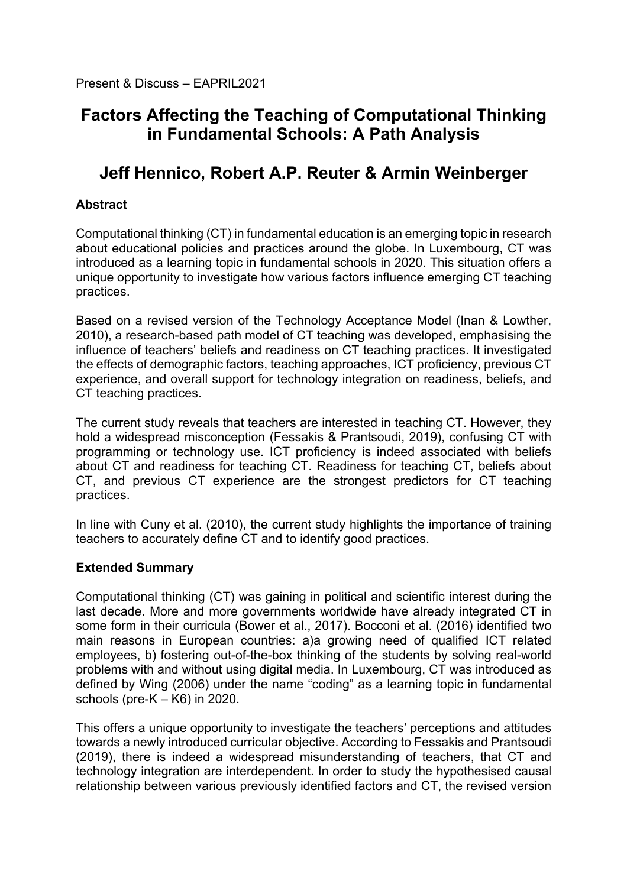# **Factors Affecting the Teaching of Computational Thinking in Fundamental Schools: A Path Analysis**

# **Jeff Hennico, Robert A.P. Reuter & Armin Weinberger**

# **Abstract**

Computational thinking (CT) in fundamental education is an emerging topic in research about educational policies and practices around the globe. In Luxembourg, CT was introduced as a learning topic in fundamental schools in 2020. This situation offers a unique opportunity to investigate how various factors influence emerging CT teaching practices.

Based on a revised version of the Technology Acceptance Model (Inan & Lowther, 2010), a research-based path model of CT teaching was developed, emphasising the influence of teachers' beliefs and readiness on CT teaching practices. It investigated the effects of demographic factors, teaching approaches, ICT proficiency, previous CT experience, and overall support for technology integration on readiness, beliefs, and CT teaching practices.

The current study reveals that teachers are interested in teaching CT. However, they hold a widespread misconception (Fessakis & Prantsoudi, 2019), confusing CT with programming or technology use. ICT proficiency is indeed associated with beliefs about CT and readiness for teaching CT. Readiness for teaching CT, beliefs about CT, and previous CT experience are the strongest predictors for CT teaching practices.

In line with Cuny et al. (2010), the current study highlights the importance of training teachers to accurately define CT and to identify good practices.

## **Extended Summary**

Computational thinking (CT) was gaining in political and scientific interest during the last decade. More and more governments worldwide have already integrated CT in some form in their curricula (Bower et al., 2017). Bocconi et al. (2016) identified two main reasons in European countries: a)a growing need of qualified ICT related employees, b) fostering out-of-the-box thinking of the students by solving real-world problems with and without using digital media. In Luxembourg, CT was introduced as defined by Wing (2006) under the name "coding" as a learning topic in fundamental schools (pre- $K - K6$ ) in 2020.

This offers a unique opportunity to investigate the teachers' perceptions and attitudes towards a newly introduced curricular objective. According to Fessakis and Prantsoudi (2019), there is indeed a widespread misunderstanding of teachers, that CT and technology integration are interdependent. In order to study the hypothesised causal relationship between various previously identified factors and CT, the revised version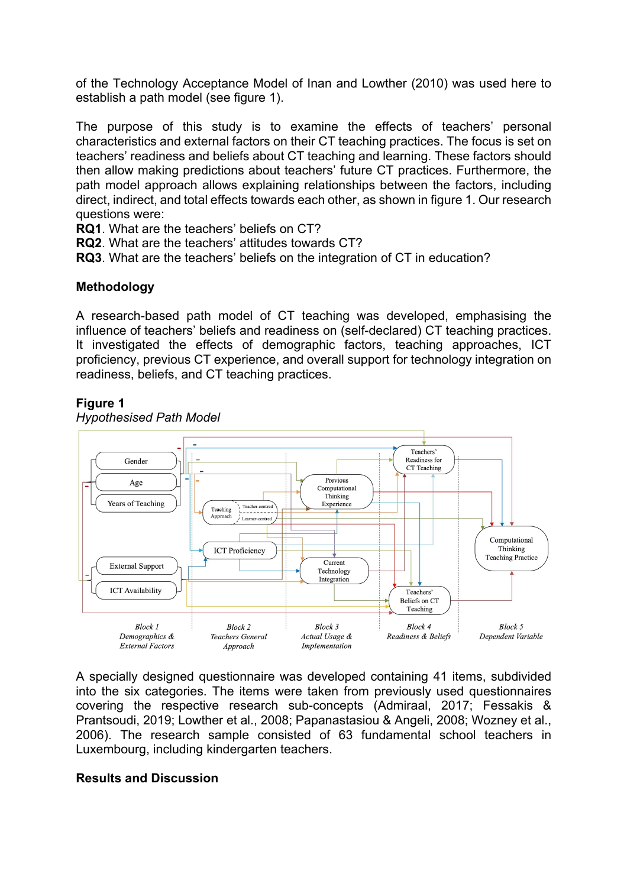of the Technology Acceptance Model of Inan and Lowther (2010) was used here to establish a path model (see figure 1).

The purpose of this study is to examine the effects of teachers' personal characteristics and external factors on their CT teaching practices. The focus is set on teachers' readiness and beliefs about CT teaching and learning. These factors should then allow making predictions about teachers' future CT practices. Furthermore, the path model approach allows explaining relationships between the factors, including direct, indirect, and total effects towards each other, as shown in figure 1. Our research questions were:

**RQ1**. What are the teachers' beliefs on CT?

**RQ2**. What are the teachers' attitudes towards CT?

**RQ3**. What are the teachers' beliefs on the integration of CT in education?

## **Methodology**

A research-based path model of CT teaching was developed, emphasising the influence of teachers' beliefs and readiness on (self-declared) CT teaching practices. It investigated the effects of demographic factors, teaching approaches, ICT proficiency, previous CT experience, and overall support for technology integration on readiness, beliefs, and CT teaching practices.

#### **Figure 1**



*Hypothesised Path Model*

A specially designed questionnaire was developed containing 41 items, subdivided into the six categories. The items were taken from previously used questionnaires covering the respective research sub-concepts (Admiraal, 2017; Fessakis & Prantsoudi, 2019; Lowther et al., 2008; Papanastasiou & Angeli, 2008; Wozney et al., 2006). The research sample consisted of 63 fundamental school teachers in Luxembourg, including kindergarten teachers.

#### **Results and Discussion**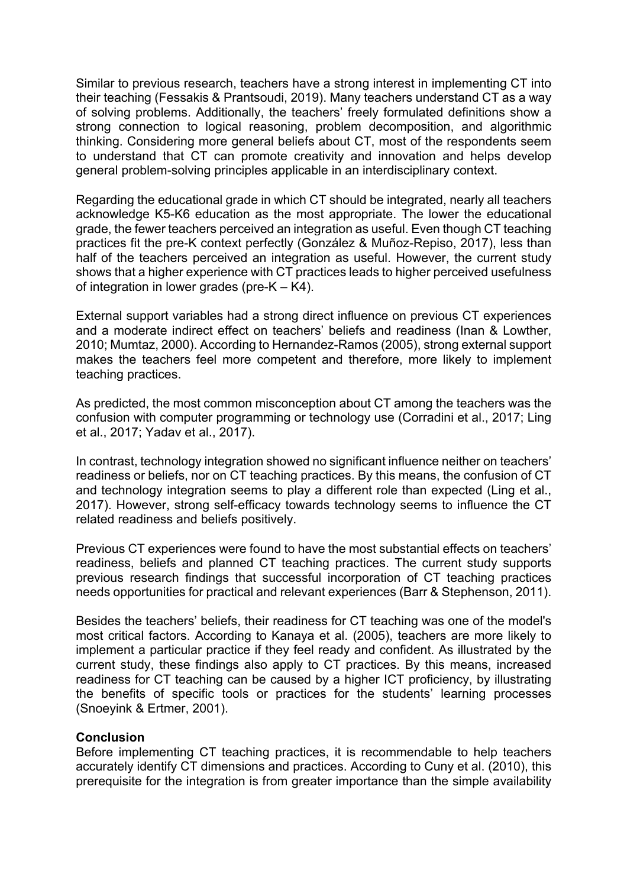Similar to previous research, teachers have a strong interest in implementing CT into their teaching (Fessakis & Prantsoudi, 2019). Many teachers understand CT as a way of solving problems. Additionally, the teachers' freely formulated definitions show a strong connection to logical reasoning, problem decomposition, and algorithmic thinking. Considering more general beliefs about CT, most of the respondents seem to understand that CT can promote creativity and innovation and helps develop general problem-solving principles applicable in an interdisciplinary context.

Regarding the educational grade in which CT should be integrated, nearly all teachers acknowledge K5-K6 education as the most appropriate. The lower the educational grade, the fewer teachers perceived an integration as useful. Even though CT teaching practices fit the pre-K context perfectly (González & Muñoz-Repiso, 2017), less than half of the teachers perceived an integration as useful. However, the current study shows that a higher experience with CT practices leads to higher perceived usefulness of integration in lower grades (pre-K – K4).

External support variables had a strong direct influence on previous CT experiences and a moderate indirect effect on teachers' beliefs and readiness (Inan & Lowther, 2010; Mumtaz, 2000). According to Hernandez-Ramos (2005), strong external support makes the teachers feel more competent and therefore, more likely to implement teaching practices.

As predicted, the most common misconception about CT among the teachers was the confusion with computer programming or technology use (Corradini et al., 2017; Ling et al., 2017; Yadav et al., 2017).

In contrast, technology integration showed no significant influence neither on teachers' readiness or beliefs, nor on CT teaching practices. By this means, the confusion of CT and technology integration seems to play a different role than expected (Ling et al., 2017). However, strong self-efficacy towards technology seems to influence the CT related readiness and beliefs positively.

Previous CT experiences were found to have the most substantial effects on teachers' readiness, beliefs and planned CT teaching practices. The current study supports previous research findings that successful incorporation of CT teaching practices needs opportunities for practical and relevant experiences (Barr & Stephenson, 2011).

Besides the teachers' beliefs, their readiness for CT teaching was one of the model's most critical factors. According to Kanaya et al. (2005), teachers are more likely to implement a particular practice if they feel ready and confident. As illustrated by the current study, these findings also apply to CT practices. By this means, increased readiness for CT teaching can be caused by a higher ICT proficiency, by illustrating the benefits of specific tools or practices for the students' learning processes (Snoeyink & Ertmer, 2001).

## **Conclusion**

Before implementing CT teaching practices, it is recommendable to help teachers accurately identify CT dimensions and practices. According to Cuny et al. (2010), this prerequisite for the integration is from greater importance than the simple availability